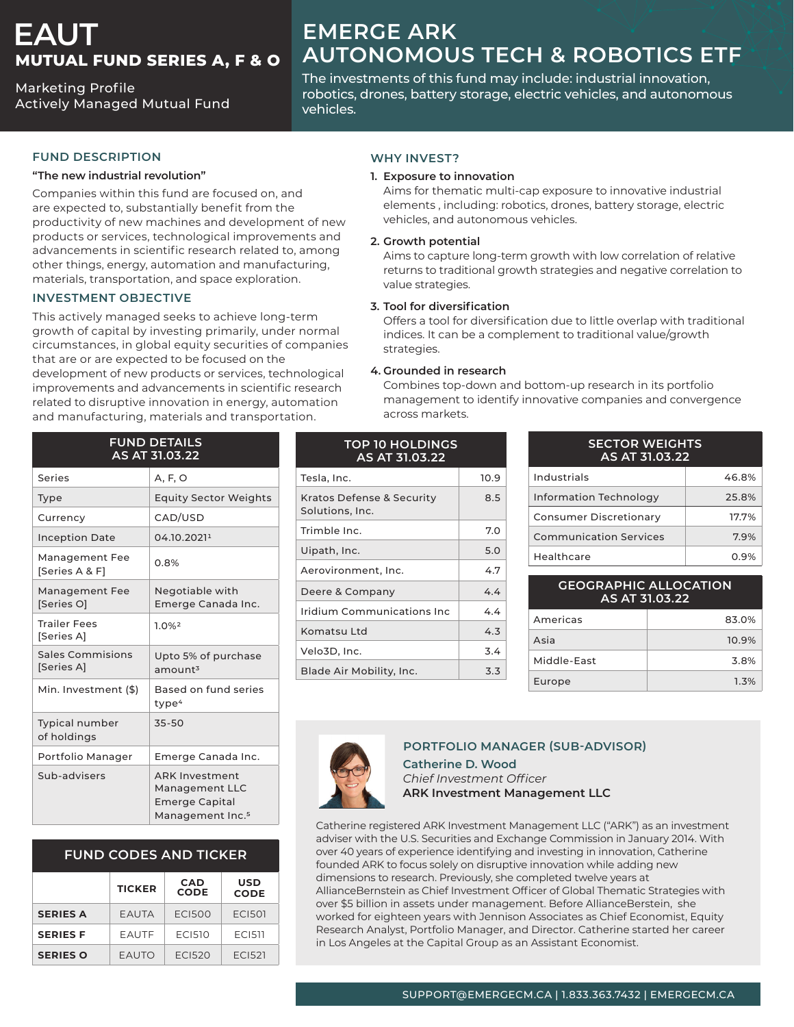# **EAUT MUTUAL FUND SERIES A, F & O**

**Marketing Profile Actively Managed Mutual Fund** 

# **EMERGE ARK AUTONOMOUS TECH & ROBOTICS ETF**

The investments of this fund may include: industrial innovation, robotics, drones, battery storage, electric vehicles, and autonomous .vehicles

#### **FUND DESCRIPTION**

#### "The new industrial revolution"

Companies within this fund are focused on, and are expected to, substantially benefit from the productivity of new machines and development of new products or services, technological improvements and advancements in scientific research related to, among other things, energy, automation and manufacturing, materials, transportation, and space exploration.

### **INVESTMENT OBJECTIVE**

This actively managed seeks to achieve long-term growth of capital by investing primarily, under normal circumstances, in global equity securities of companies that are or are expected to be focused on the development of new products or services, technological improvements and advancements in scientific research related to disruptive innovation in energy, automation and manufacturing, materials and transportation.

| <b>FUND DETAILS</b><br><b>AS AT 31.03.22</b> |                                                                                                  |  |
|----------------------------------------------|--------------------------------------------------------------------------------------------------|--|
| Series                                       | A, F, O                                                                                          |  |
| Type                                         | <b>Equity Sector Weights</b>                                                                     |  |
| Currency                                     | CAD/USD                                                                                          |  |
| <b>Inception Date</b>                        | 04.10.20211                                                                                      |  |
| Management Fee<br>[Series A & F]             | 0.8%                                                                                             |  |
| Management Fee<br>[Series O]                 | Negotiable with<br>Emerge Canada Inc.                                                            |  |
| <b>Trailer Fees</b><br>[Series A]            | 1.0%2                                                                                            |  |
| Sales Commisions<br>[Series A]               | Upto 5% of purchase<br>amount <sup>3</sup>                                                       |  |
| Min. Investment (\$)                         | Based on fund series<br>type <sup>4</sup>                                                        |  |
| <b>Typical number</b><br>of holdings         | 35-50                                                                                            |  |
| Portfolio Manager                            | Emerge Canada Inc.                                                                               |  |
| Sub-advisers                                 | <b>ARK Investment</b><br>Management LLC<br><b>Emerge Capital</b><br>Management Inc. <sup>5</sup> |  |

### **FUND CODES AND TICKER**

|                 | <b>TICKER</b> | <b>CAD</b><br><b>CODE</b> | <b>USD</b><br><b>CODE</b> |
|-----------------|---------------|---------------------------|---------------------------|
| <b>SERIES A</b> | <b>EAUTA</b>  | <b>ECI500</b>             | <b>ECI501</b>             |
| <b>SERIES F</b> | EAUTF         | <b>ECI510</b>             | <b>FCI511</b>             |
| <b>SERIES O</b> | <b>EAUTO</b>  | FC1520                    | FC1521                    |

#### **WHY INVEST?**

#### **1. Exposure to innovation**

Aims for thematic multi-cap exposure to innovative industrial elements, including: robotics, drones, battery storage, electric vehicles, and autonomous vehicles.

#### **potential Growth 2.**

Aims to capture long-term growth with low correlation of relative returns to traditional growth strategies and negative correlation to value strategies.

#### **3.** Tool for diversification

Offers a tool for diversification due to little overlap with traditional indices. It can be a complement to traditional value/growth strategies.

#### **4.** Grounded in research

Combines top-down and bottom-up research in its portfolio management to identify innovative companies and convergence across markets.

| <b>TOP 10 HOLDINGS</b><br>AS AT 31.03.22     |      |  |
|----------------------------------------------|------|--|
| Tesla, Inc.                                  | 10.9 |  |
| Kratos Defense & Security<br>Solutions, Inc. | 8.5  |  |
| Trimble Inc.                                 | 7.0  |  |
| Uipath, Inc.                                 | 5.0  |  |
| Aerovironment, Inc.                          | 4.7  |  |
| Deere & Company                              | 44   |  |
| Iridium Communications Inc                   | 44   |  |
| Komatsu I td                                 | 4.3  |  |
| Velo3D, Inc.                                 | 3.4  |  |
| Blade Air Mobility, Inc.                     | 3.3  |  |

| <b>SECTOR WEIGHTS</b><br>AS AT 31.03.22 |       |  |  |
|-----------------------------------------|-------|--|--|
| Industrials                             | 46.8% |  |  |
| <b>Information Technology</b>           | 25.8% |  |  |
| <b>Consumer Discretionary</b>           | 17.7% |  |  |
| <b>Communication Services</b>           | 7.9%  |  |  |
| Healthcare                              | 0.9%  |  |  |

| <b>GEOGRAPHIC ALLOCATION</b><br>AS AT 31.03.22 |       |  |
|------------------------------------------------|-------|--|
| Americas                                       | 83.0% |  |
| Asia                                           | 10.9% |  |
| Middle-East                                    | 3.8%  |  |

Europe and the state of the 1.3%



#### **PORTFOLIO MANAGER (SUB-ADVISOR)**

**Catherine D. Wood** *Officer Investment Chief* **ARK Investment Management LLC** 

Catherine registered ARK Investment Management LLC ("ARK") as an investment adviser with the U.S. Securities and Exchange Commission in January 2014. With over 40 years of experience identifying and investing in innovation, Catherine founded ARK to focus solely on disruptive innovation while adding new dimensions to research. Previously, she completed twelve years at AllianceBernstein as Chief Investment Officer of Global Thematic Strategies with over \$5 billion in assets under management. Before AllianceBerstein, she worked for eighteen years with Jennison Associates as Chief Economist, Equity Research Analyst, Portfolio Manager, and Director. Catherine started her career in Los Angeles at the Capital Group as an Assistant Economist.